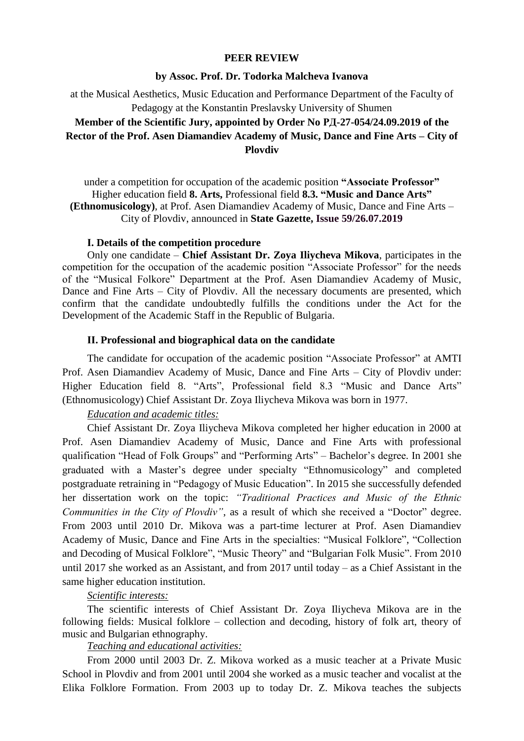### **PEER REVIEW**

## **by Assoc. Prof. Dr. Todorka Malcheva Ivanova**

at the Musical Aesthetics, Music Education and Performance Department of the Faculty of Pedagogy at the Konstantin Preslavsky University of Shumen

# **Member of the Scientific Jury, appointed by Order No РД-27-054/24.09.2019 of the Rector of the Prof. Asen Diamandiev Academy of Music, Dance and Fine Arts – City of Plovdiv**

under a competition for occupation of the academic position **"Associate Professor"** Higher education field **8. Arts,** Professional field **8.3. "Music and Dance Arts" (Ethnomusicology)**, at Prof. Asen Diamandiev Academy of Music, Dance and Fine Arts – City of Plovdiv, announced in **State Gazette, Issue 59/26.07.2019**

#### **І. Details of the competition procedure**

Only one candidate – **Chief Assistant Dr. Zoya Iliycheva Mikova**, participates in the competition for the occupation of the academic position "Associate Professor" for the needs of the "Musical Folkore" Department at the Prof. Asen Diamandiev Academy of Music, Dance and Fine Arts – City of Plovdiv. All the necessary documents are presented, which confirm that the candidate undoubtedly fulfills the conditions under the Act for the Development of the Academic Staff in the Republic of Bulgaria.

#### **ІІ. Professional and biographical data on the candidate**

The candidate for occupation of the academic position "Associate Professor" at AMTI Prof. Asen Diamandiev Academy of Music, Dance and Fine Arts – City of Plovdiv under: Higher Education field 8. "Arts", Professional field 8.3 "Music and Dance Arts" (Ethnomusicology) Chief Assistant Dr. Zoya Iliycheva Mikova was born in 1977.

# *Education and academic titles:*

Chief Assistant Dr. Zoya Iliycheva Mikova completed her higher education in 2000 at Prof. Asen Diamandiev Academy of Music, Dance and Fine Arts with professional qualification "Head of Folk Groups" and "Performing Arts" – Bachelor's degree. In 2001 she graduated with a Master's degree under specialty "Ethnomusicology" and completed postgraduate retraining in "Pedagogy of Music Education". In 2015 she successfully defended her dissertation work on the topic: *"Traditional Practices and Music of the Ethnic Communities in the City of Plovdiv"*, as a result of which she received a "Doctor" degree. From 2003 until 2010 Dr. Mikova was a part-time lecturer at Prof. Asen Diamandiev Academy of Music, Dance and Fine Arts in the specialties: "Musical Folklore", "Collection and Decoding of Musical Folklore", "Music Theory" and "Bulgarian Folk Music". From 2010 until 2017 she worked as an Assistant, and from 2017 until today – as a Chief Assistant in the same higher education institution.

#### *Scientific interests:*

The scientific interests of Chief Assistant Dr. Zoya Iliycheva Mikova are in the following fields: Musical folklore – collection and decoding, history of folk art, theory of music and Bulgarian ethnography.

# *Teaching and educational activities:*

From 2000 until 2003 Dr. Z. Mikova worked as a music teacher at a Private Music School in Plovdiv and from 2001 until 2004 she worked as a music teacher and vocalist at the Elika Folklore Formation. From 2003 up to today Dr. Z. Mikova teaches the subjects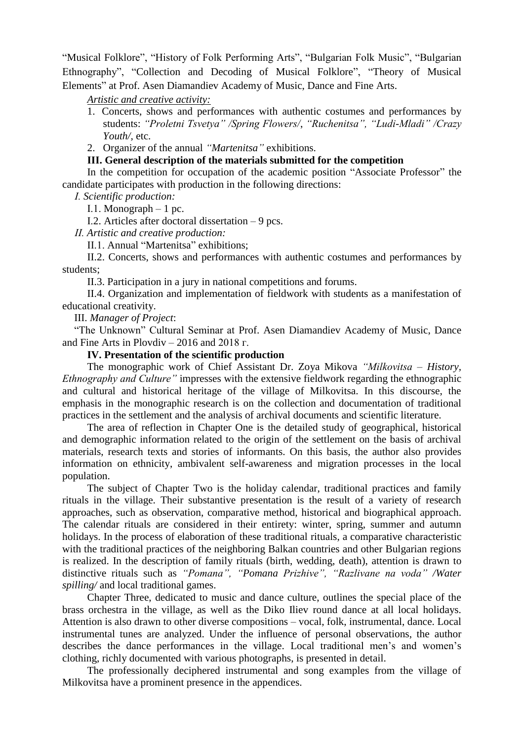"Musical Folklore", "History of Folk Performing Arts", "Bulgarian Folk Music", "Bulgarian Ethnography", "Collection and Decoding of Musical Folklore", "Theory of Musical Elements" at Prof. Asen Diamandiev Academy of Music, Dance and Fine Arts.

*Artistic and creative activity:*

1. Concerts, shows and performances with authentic costumes and performances by students: *"Proletni Tsvetya" /Spring Flowers/*, *"Ruchenitsa", "Ludi-Mladi" /Crazy Youth/,* etc.

2. Organizer of the annual *"Martenitsa"* exhibitions.

# **ІІІ. General description of the materials submitted for the competition**

In the competition for occupation of the academic position "Associate Professor" the candidate participates with production in the following directions:

*І. Scientific production:*

I.1. Monograph  $-1$  pc.

І.2. Articles after doctoral dissertation – 9 pcs.

*ІІ. Artistic and creative production:*

ІІ.1. Annual "Martenitsa" exhibitions;

II.2. Concerts, shows and performances with authentic costumes and performances by students;

II.3. Participation in a jury in national competitions and forums.

II.4. Organization and implementation of fieldwork with students as a manifestation of educational creativity.

III. *Manager of Project*:

"The Unknown" Cultural Seminar at Prof. Asen Diamandiev Academy of Music, Dance and Fine Arts in Plovdiv – 2016 and 2018 г.

**ІV. Presentation of the scientific production**

The monographic work of Chief Assistant Dr. Zoya Mikova *"Milkovitsa – History, Ethnography and Culture"* impresses with the extensive fieldwork regarding the ethnographic and cultural and historical heritage of the village of Milkovitsa. In this discourse, the emphasis in the monographic research is on the collection and documentation of traditional practices in the settlement and the analysis of archival documents and scientific literature.

The area of reflection in Chapter One is the detailed study of geographical, historical and demographic information related to the origin of the settlement on the basis of archival materials, research texts and stories of informants. On this basis, the author also provides information on ethnicity, ambivalent self-awareness and migration processes in the local population.

The subject of Chapter Two is the holiday calendar, traditional practices and family rituals in the village. Their substantive presentation is the result of a variety of research approaches, such as observation, comparative method, historical and biographical approach. The calendar rituals are considered in their entirety: winter, spring, summer and autumn holidays. In the process of elaboration of these traditional rituals, a comparative characteristic with the traditional practices of the neighboring Balkan countries and other Bulgarian regions is realized. In the description of family rituals (birth, wedding, death), attention is drawn to distinctive rituals such as *"Pomana", "Pomana Prizhive", "Razlivane na voda" /Water spilling/* and local traditional games.

Chapter Three, dedicated to music and dance culture, outlines the special place of the brass orchestra in the village, as well as the Diko Iliev round dance at all local holidays. Attention is also drawn to other diverse compositions – vocal, folk, instrumental, dance. Local instrumental tunes are analyzed. Under the influence of personal observations, the author describes the dance performances in the village. Local traditional men's and women's clothing, richly documented with various photographs, is presented in detail.

The professionally deciphered instrumental and song examples from the village of Milkovitsa have a prominent presence in the appendices.